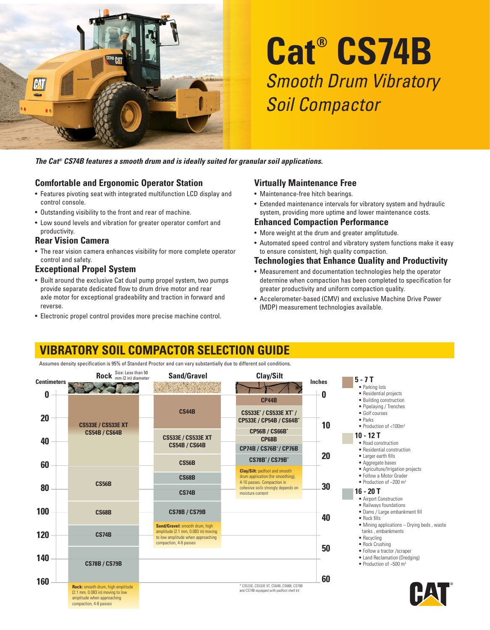

# **Cat® CS74B** Smooth Drum Vibratory Soil Compactor

*The Cat® CS74B features a smooth drum and is ideally suited for granular soil applications.*

## **Comfortable and Ergonomic Operator Station**

- Features pivoting seat with integrated multifunction LCD display and control console.
- Outstanding visibility to the front and rear of machine.
- Low sound levels and vibration for greater operator comfort and productivity.

#### **Rear Vision Camera**

• The rear vision camera enhances visibility for more complete operator control and safety.

## **Exceptional Propel System**

- Built around the exclusive Cat dual pump propel system, two pumps provide separate dedicated flow to drum drive motor and rear axle motor for exceptional gradeability and traction in forward and reverse.
- Electronic propel control provides more precise machine control.

#### **Virtually Maintenance Free**

- Maintenance-free hitch bearings.
- Extended maintenance intervals for vibratory system and hydraulic system, providing more uptime and lower maintenance costs.

#### **Enhanced Compaction Performance**

- More weight at the drum and greater amplitutude.
- Automated speed control and vibratory system functions make it easy to ensure consistent, high quality compaction.

#### **Technologies that Enhance Quality and Productivity**

- Measurement and documentation technologies help the operator determine when compaction has been completed to specification for greater productivity and uniform compaction quality.
- Accelerometer-based (CMV) and exclusive Machine Drive Power (MDP) measurement technologies available.

# **VIBRATORY SOIL COMPACTOR SELECTION GUIDE**

Assumes density specification is 95% of Standard Proctor and can vary substantially due to different soil conditions.

| <b>Centimeters</b> | Rock Size: Less than 50                                                                                                       | <b>Sand/Gravel</b>                                                                                                                   | Clay/Silt                                                                                               | <b>Inches</b> | $5 - 7T$                                                                                                  |
|--------------------|-------------------------------------------------------------------------------------------------------------------------------|--------------------------------------------------------------------------------------------------------------------------------------|---------------------------------------------------------------------------------------------------------|---------------|-----------------------------------------------------------------------------------------------------------|
| 0                  |                                                                                                                               |                                                                                                                                      |                                                                                                         | 0             | • Parking lots<br>• Residential projects                                                                  |
|                    |                                                                                                                               |                                                                                                                                      | <b>CP44B</b>                                                                                            |               | • Building construction<br>• Pipelaying / Trenches                                                        |
| 20                 | <b>CS533E / CS533E XT</b>                                                                                                     | <b>CS44B</b>                                                                                                                         | CS533E* / CS533E XT* /<br>CP533E / CP54B / CS64B*                                                       | 10            | · Golf courses<br>$\bullet$ Parks<br>• Production of $<$ 100 $m3$                                         |
| 40                 | <b>CS54B / CS64B</b>                                                                                                          | <b>CS533E / CS533E XT</b><br><b>CS54B / CS64B</b>                                                                                    | <b>CP56B / CS66B*</b><br><b>CP68B</b><br><b>CP74B / CS76B*/ CP76B</b>                                   |               | $10 - 12T$<br>• Road construction<br>• Residential construction                                           |
| 60                 |                                                                                                                               | <b>CS56B</b>                                                                                                                         | <b>CS78B*/CS79B*</b>                                                                                    | 20            | • Larger earth fills<br>• Aggregate bases                                                                 |
|                    | <b>CS56B</b>                                                                                                                  | <b>CS68B</b>                                                                                                                         | <b>Clay/Silt:</b> padfoot and smooth<br>drum application (for smoothing),<br>4-10 passes. Compaction in | 30            | • Agriculture/Irrigation projects<br>• Follow a Motor Grader<br>• Production of $\sim$ 200 m <sup>3</sup> |
| 80                 |                                                                                                                               | <b>CS74B</b>                                                                                                                         | cohesive soils strongly depends on<br>moisture content                                                  |               | $16 - 20T$<br>• Airport Construction                                                                      |
| 100                | <b>CS68B</b>                                                                                                                  | <b>CS78B / CS79B</b>                                                                                                                 |                                                                                                         | 40            | • Railways foundations<br>· Dams / Large embankment fill<br>• Rock fills                                  |
| 120                | <b>CS74B</b>                                                                                                                  | Sand/Gravel: smooth drum, high<br>amplitude (2.1 mm, 0.083 in) moving<br>to low amplitude when approaching<br>compaction, 4-6 passes |                                                                                                         |               | • Mining applications – Drying beds, waste<br>tanks, embankments<br>• Recycling<br>• Rock Crushing        |
| 140                | <b>CS78B / CS79B</b>                                                                                                          |                                                                                                                                      |                                                                                                         | 50            | • Follow a tractor /scraper<br>• Land Reclamation (Dredging)<br>• Production of $~500 \text{ m}^3$        |
| 160                | Rock: smooth drum, high amplitude<br>(2.1 mm, 0.083 in) moving to low<br>amplitude when approaching<br>compaction, 4-8 passes |                                                                                                                                      | * CS533E, CS533E XT, CS64B, CS66B, CS78B<br>and CS79B equipped with padfoot shell kit                   | 60            |                                                                                                           |

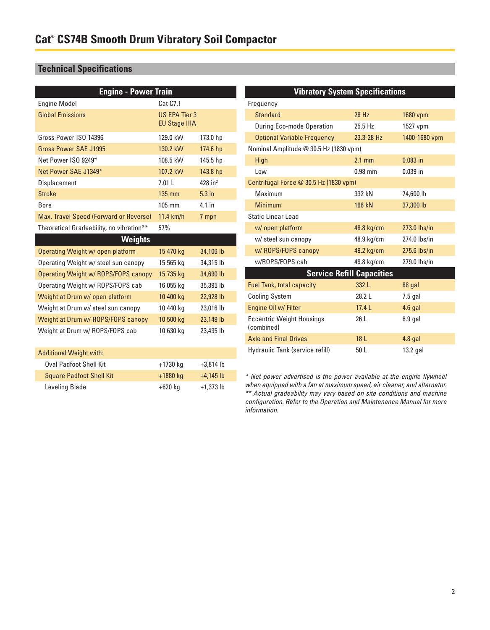# **Technical Specifications**

| <b>Engine - Power Train</b>              |                                              |                       | <b>Vibratory System Specifications</b>                                                                                                                                                                                                                                                           |                                  |               |  |
|------------------------------------------|----------------------------------------------|-----------------------|--------------------------------------------------------------------------------------------------------------------------------------------------------------------------------------------------------------------------------------------------------------------------------------------------|----------------------------------|---------------|--|
| <b>Engine Model</b>                      | <b>Cat C7.1</b>                              |                       | Frequency                                                                                                                                                                                                                                                                                        |                                  |               |  |
| <b>Global Emissions</b>                  | <b>US EPA Tier 3</b><br><b>EU Stage IIIA</b> |                       | <b>Standard</b>                                                                                                                                                                                                                                                                                  | 28 Hz                            | 1680 vpm      |  |
|                                          |                                              |                       | During Eco-mode Operation                                                                                                                                                                                                                                                                        | 25.5 Hz                          | 1527 vpm      |  |
| Gross Power ISO 14396                    | 129.0 kW                                     | 173.0 hp              | <b>Optional Variable Frequency</b>                                                                                                                                                                                                                                                               | 23.3-28 Hz                       | 1400-1680 vpm |  |
| <b>Gross Power SAE J1995</b>             | 130.2 kW                                     | 174.6 hp              | Nominal Amplitude @ 30.5 Hz (1830 vpm)                                                                                                                                                                                                                                                           |                                  |               |  |
| Net Power ISO 9249*                      | 108.5 kW                                     | 145.5 hp              | High                                                                                                                                                                                                                                                                                             | $2.1$ mm                         | $0.083$ in    |  |
| Net Power SAE J1349*                     | 107.2 kW                                     | 143.8 hp              | Low                                                                                                                                                                                                                                                                                              | $0.98$ mm                        | $0.039$ in    |  |
| Displacement                             | 7.01L                                        | $428$ in <sup>3</sup> | Centrifugal Force @ 30.5 Hz (1830 vpm)                                                                                                                                                                                                                                                           |                                  |               |  |
| <b>Stroke</b>                            | 135 mm                                       | $5.3$ in              | Maximum                                                                                                                                                                                                                                                                                          | 332 kN                           | 74,600 lb     |  |
| <b>Bore</b>                              | 105 mm                                       | 4.1 in                | <b>Minimum</b>                                                                                                                                                                                                                                                                                   | 166 kN                           | 37,300 lb     |  |
| Max. Travel Speed (Forward or Reverse)   | 11.4 km/h                                    | 7 mph                 | <b>Static Linear Load</b>                                                                                                                                                                                                                                                                        |                                  |               |  |
| Theoretical Gradeability, no vibration** | 57%                                          |                       | w/ open platform                                                                                                                                                                                                                                                                                 | 48.8 kg/cm                       | 273.0 lbs/in  |  |
| <b>Weights</b>                           |                                              |                       | w/ steel sun canopy                                                                                                                                                                                                                                                                              | 48.9 kg/cm                       | 274.0 lbs/in  |  |
| Operating Weight w/ open platform        | 15 470 kg                                    | 34,106 lb             | w/ ROPS/FOPS canopy                                                                                                                                                                                                                                                                              | 49.2 kg/cm                       | 275.6 lbs/in  |  |
| Operating Weight w/ steel sun canopy     | 15 565 kg                                    | 34,315 lb             | w/ROPS/FOPS cab                                                                                                                                                                                                                                                                                  | 49.8 kg/cm                       | 279.0 lbs/in  |  |
| Operating Weight w/ ROPS/FOPS canopy     | 15 735 kg                                    | 34,690 lb             |                                                                                                                                                                                                                                                                                                  | <b>Service Refill Capacities</b> |               |  |
| Operating Weight w/ ROPS/FOPS cab        | 16 055 kg                                    | 35,395 lb             | <b>Fuel Tank, total capacity</b>                                                                                                                                                                                                                                                                 | 332 L                            | 88 gal        |  |
| Weight at Drum w/ open platform          | 10 400 kg                                    | 22,928 lb             | <b>Cooling System</b>                                                                                                                                                                                                                                                                            | 28.2 L                           | $7.5$ gal     |  |
| Weight at Drum w/ steel sun canopy       | 10 440 kg                                    | 23,016 lb             | Engine Oil w/ Filter                                                                                                                                                                                                                                                                             | 17.4L                            | $4.6$ gal     |  |
| Weight at Drum w/ ROPS/FOPS canopy       | 10 500 kg                                    | 23,149 lb             | <b>Eccentric Weight Housings</b>                                                                                                                                                                                                                                                                 | 26 L                             | $6.9$ gal     |  |
| Weight at Drum w/ ROPS/FOPS cab          | 10 630 kg                                    | 23,435 lb             | (combined)                                                                                                                                                                                                                                                                                       |                                  |               |  |
|                                          |                                              |                       | <b>Axle and Final Drives</b>                                                                                                                                                                                                                                                                     | 18 <sup>L</sup>                  | $4.8$ gal     |  |
| <b>Additional Weight with:</b>           |                                              |                       | Hydraulic Tank (service refill)                                                                                                                                                                                                                                                                  | 50 L                             | 13.2 gal      |  |
| <b>Oval Padfoot Shell Kit</b>            | $+1730$ kg                                   | $+3,814$ lb           |                                                                                                                                                                                                                                                                                                  |                                  |               |  |
| <b>Square Padfoot Shell Kit</b>          | +1880 kg                                     | $+4,145$ lb           | * Net power advertised is the power available at the engine flywheel<br>when equipped with a fan at maximum speed, air cleaner, and alternator.<br>** Actual gradeability may vary based on site conditions and machine<br>configuration. Refer to the Operation and Maintenance Manual for more |                                  |               |  |
| Leveling Blade                           | $+620$ kg                                    | $+1,373$ lb           |                                                                                                                                                                                                                                                                                                  |                                  |               |  |

information.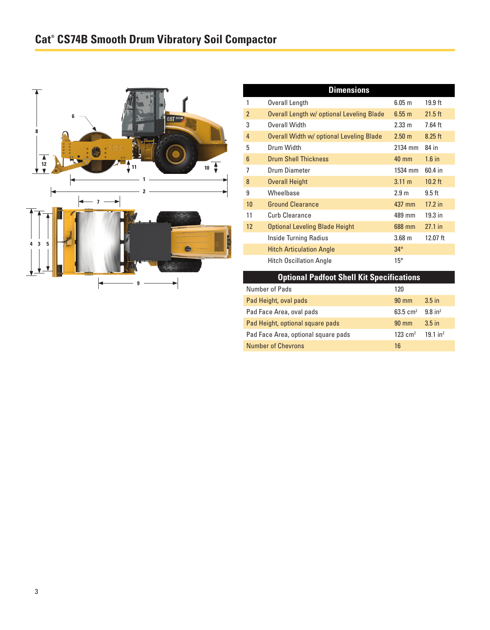

| <b>Dimensions</b> |                                           |                   |           |  |  |
|-------------------|-------------------------------------------|-------------------|-----------|--|--|
|                   | Overall Length                            | 6.05 <sub>m</sub> | $19.9$ ft |  |  |
| $\overline{2}$    | Overall Length w/ optional Leveling Blade | $6.55 \text{ m}$  | $21.5$ ft |  |  |
| 3                 | Overall Width                             | $2.33 \text{ m}$  | 7.64 ft   |  |  |
| 4                 | Overall Width w/ optional Leveling Blade  | $2.50 \text{ m}$  | $8.25$ ft |  |  |
| 5                 | Drum Width                                | 2134 mm           | 84 in     |  |  |
| $6\phantom{1}$    | <b>Drum Shell Thickness</b>               | $40 \text{ mm}$   | $1.6$ in  |  |  |
| 7                 | Drum Diameter                             | 1534 mm           | 60.4 in   |  |  |
| 8                 | <b>Overall Height</b>                     | $3.11 \text{ m}$  | $10.2$ ft |  |  |
| 9                 | Wheelbase                                 | 2.9 <sub>m</sub>  | $9.5$ ft  |  |  |
| 10                | <b>Ground Clearance</b>                   | 437 mm            | $17.2$ in |  |  |
| 11                | Curb Clearance                            | 489 mm            | $19.3$ in |  |  |
| 12                | <b>Optional Leveling Blade Height</b>     | 688 mm            | $27.1$ in |  |  |
|                   | Inside Turning Radius                     | 3.68 <sub>m</sub> | 12.07 ft  |  |  |
|                   | <b>Hitch Articulation Angle</b>           | $34^\circ$        |           |  |  |
|                   | <b>Hitch Oscillation Angle</b>            | $15^{\circ}$      |           |  |  |

| <b>Optional Padfoot Shell Kit Specifications</b> |                 |                        |  |  |
|--------------------------------------------------|-----------------|------------------------|--|--|
| Number of Pads                                   | 120             |                        |  |  |
| Pad Height, oval pads                            | $90 \text{ mm}$ | 3.5 <sub>in</sub>      |  |  |
| Pad Face Area, oval pads                         | 63.5 $cm2$      | $9.8$ in <sup>2</sup>  |  |  |
| Pad Height, optional square pads                 | $90 \text{ mm}$ | $3.5$ in               |  |  |
| Pad Face Area, optional square pads              | 123 $cm2$       | $19.1$ in <sup>2</sup> |  |  |
| <b>Number of Chevrons</b>                        | 16              |                        |  |  |